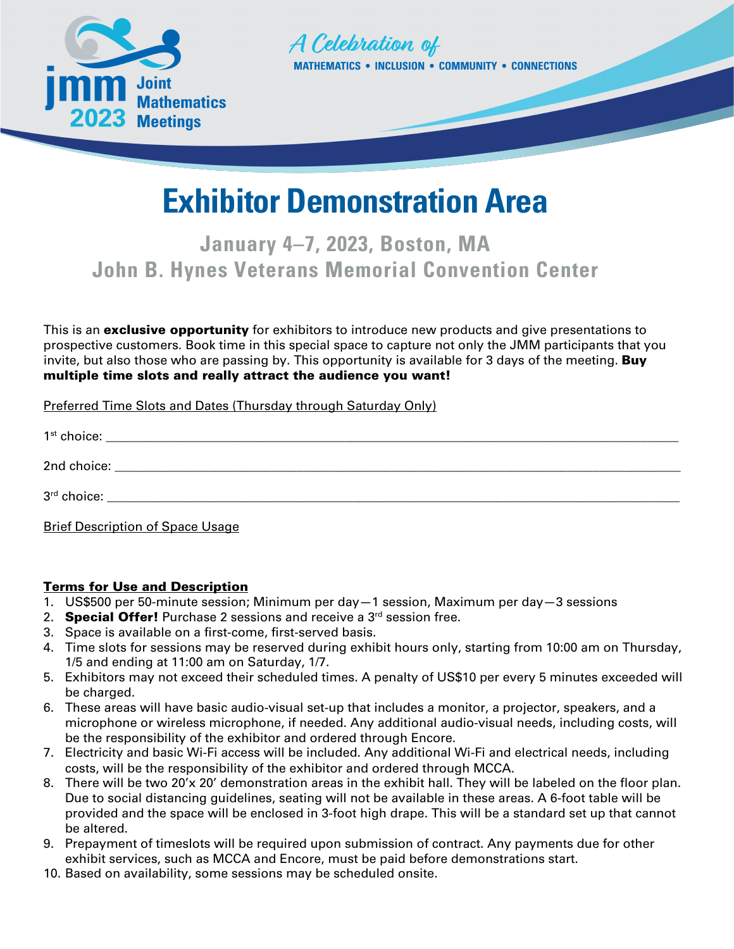



## **Exhibitor Demonstration Area**

## **January 4–7, 2023, Boston, MA John B. Hynes Veterans Memorial Convention Center**

This is an **exclusive opportunity** for exhibitors to introduce new products and give presentations to prospective customers. Book time in this special space to capture not only the JMM participants that you invite, but also those who are passing by. This opportunity is available for 3 days of the meeting. **Buy** multiple time slots and really attract the audience you want!

Preferred Time Slots and Dates (Thursday through Saturday Only)

| <b>Brief Description of Space Usage</b> |
|-----------------------------------------|

## Terms for Use and Description

- 1. US\$500 per 50-minute session; Minimum per day—1 session, Maximum per day—3 sessions
- 2. **Special Offer!** Purchase 2 sessions and receive a  $3<sup>rd</sup>$  session free.
- 3. Space is available on a first-come, first-served basis.
- 4. Time slots for sessions may be reserved during exhibit hours only, starting from 10:00 am on Thursday, 1/5 and ending at 11:00 am on Saturday, 1/7.
- 5. Exhibitors may not exceed their scheduled times. A penalty of US\$10 per every 5 minutes exceeded will be charged.
- 6. These areas will have basic audio-visual set-up that includes a monitor, a projector, speakers, and a microphone or wireless microphone, if needed. Any additional audio-visual needs, including costs, will be the responsibility of the exhibitor and ordered through Encore.
- 7. Electricity and basic Wi-Fi access will be included. Any additional Wi-Fi and electrical needs, including costs, will be the responsibility of the exhibitor and ordered through MCCA.
- 8. There will be two 20'x 20' demonstration areas in the exhibit hall. They will be labeled on the floor plan. Due to social distancing guidelines, seating will not be available in these areas. A 6-foot table will be provided and the space will be enclosed in 3-foot high drape. This will be a standard set up that cannot be altered.
- 9. Prepayment of timeslots will be required upon submission of contract. Any payments due for other exhibit services, such as MCCA and Encore, must be paid before demonstrations start.
- 10. Based on availability, some sessions may be scheduled onsite.